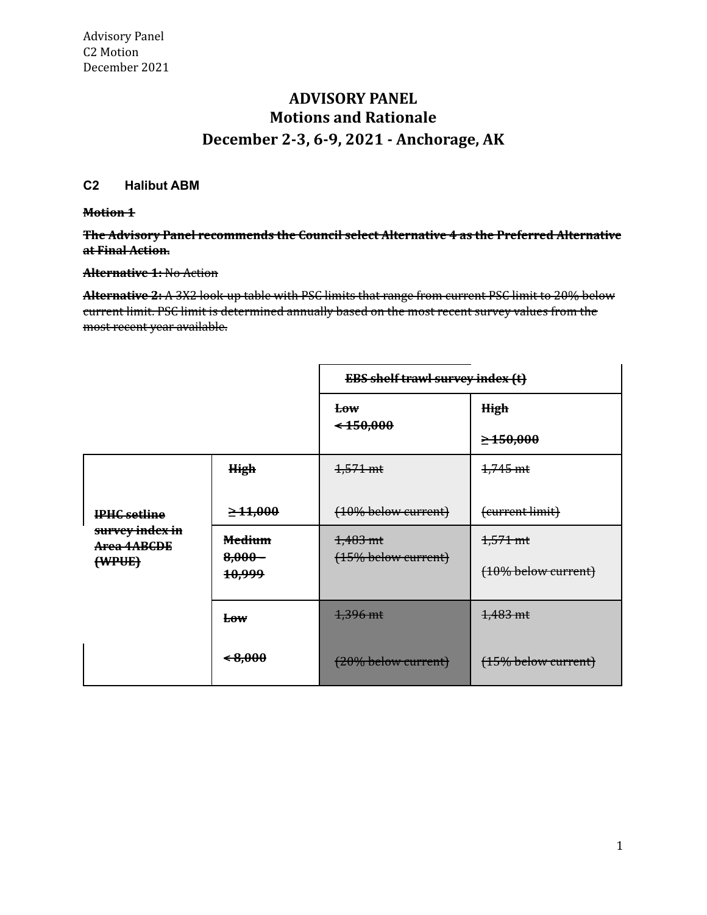# **Motions and Rationale December 2-3, 6-9, 2021 - Anchorage, AK ADVISORY PANEL**

# **C2 Halibut ABM**

#### **Motion 1**

 **The Advisory Panel recommends the Council select Alternative 4 as the Preferred Alternative at Final Action.**

#### **Alternative 1:** No Action

 **Alternative 2:** A 3X2 look-up table with PSC limits that range from current PSC limit to 20% below current limit. PSC limit is determined annually based on the most recent survey values from the most recent year available.

|                                                                 |                                | <b>EBS shelf trawl survey index (t)</b> |                        |
|-----------------------------------------------------------------|--------------------------------|-----------------------------------------|------------------------|
|                                                                 |                                | <b>Low</b>                              | High                   |
|                                                                 |                                | $\leftarrow 150,000$                    | $\geq 150,000$         |
| <b>IPHC</b> setline<br>survey index in<br>Area 4ABCDE<br>(WPUE) | <b>High</b>                    | $4,571 \text{ mt}$                      | 1,745 mt               |
|                                                                 | $\geq 11,000$                  | (10% below current)                     | (current limit)        |
|                                                                 | <b>Medium</b>                  | 1,483 mt                                | 1,571 mt               |
|                                                                 | $8,000 -$<br><del>10,999</del> | $(15\%$ below current)                  | (10% below current)    |
|                                                                 | <del>Low</del>                 | 1,396 mt                                | 1,483 mt               |
|                                                                 | ←8,000                         | (20% below current)                     | $(15\%$ below current) |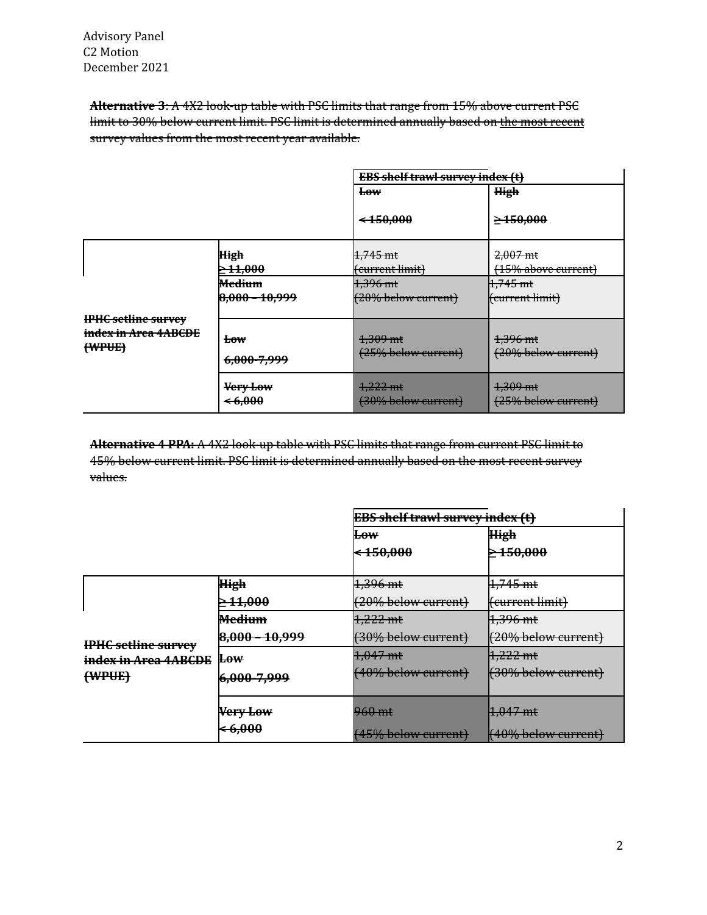**Alternative 3**: A 4X2 look-up table with PSC limits that range from 15% above current PSC limit to 30% below current limit. PSC limit is determined annually based on <u>the most recent</u> survey values from the most recent year available.

|                                                    |                               | <b>EBS shelf trawl survey index (t)</b> |                                           |
|----------------------------------------------------|-------------------------------|-----------------------------------------|-------------------------------------------|
|                                                    |                               | E <sub>0</sub>                          | <b>High</b>                               |
|                                                    |                               | $*150,000$                              | $\geq 150,000$                            |
|                                                    | High<br>$\geq 11,000$         | 1,745 mt<br>(current limit)             | $2,007 \text{ mt}$<br>(15% above current) |
|                                                    | <del>Medium</del>             | 1,396 mt                                | $1,745$ mt                                |
|                                                    | 8,000 - 10,999                | $(20%$ below current)                   | <del>(current limit)</del>                |
| <b>IPHC setline survey</b><br>index in Area 4ABCDE | <del>Low</del>                | 1,309 mt                                | <del>1,396 mt</del>                       |
| (WPUE)                                             | 6,000-7,999                   | (25% below current)                     | (20% below current)                       |
|                                                    | Very Low<br><del>46,000</del> | 1,222 mt<br>(30% below current)         | 1,309 mt<br>(25% below current)           |

 **Alternative 4 PPA:** A 4X2 look-up table with PSC limits that range from current PSC limit to 45% below current limit. PSC limit is determined annually based on the most recent survey values.

|                                                              |                         | <b>EBS shelf trawl survey index (t)</b> |                                |
|--------------------------------------------------------------|-------------------------|-----------------------------------------|--------------------------------|
|                                                              |                         | <del>Low</del>                          | <b>High</b>                    |
|                                                              |                         | $-150,000$                              | $\geq 150,000$                 |
|                                                              |                         |                                         |                                |
| <b>IPHC setline survey</b><br>index in Area 4ABCDE<br>(WPUE) | <b>High</b>             | $1,396$ mt                              | $4,745$ mt                     |
|                                                              | <del>11,000</del>       | (20% below current)                     | <del>(current limit)</del>     |
|                                                              | <b>Medium</b>           | 1,222 mt                                | <del>1,396 mt</del>            |
|                                                              | $8,000 - 10,999$        | (30% below current)                     | <del>(20% below current)</del> |
|                                                              | <del>Low</del>          | 1,047 mt                                | $1,222$ mt                     |
|                                                              | 6 <del>,000-7,999</del> | $(40\%$ below current)                  | (30% below current)            |
|                                                              | Very Low                | 960 mt                                  | $1,047$ mt                     |
|                                                              | <del>6,000</del>        | (45% below current)                     | $(40\%$ below current)         |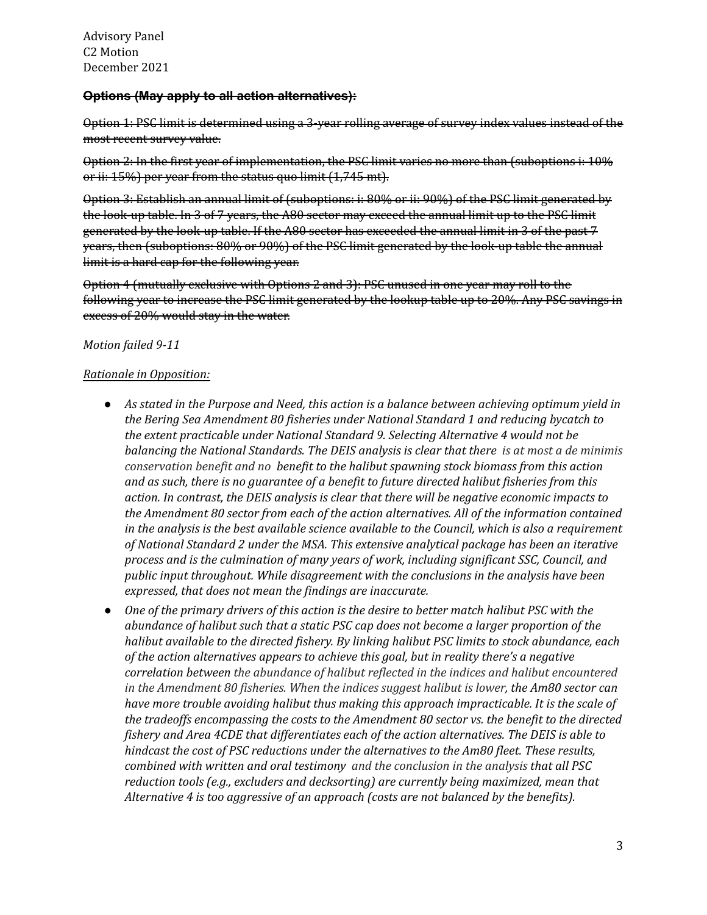#### **Options (May apply to all action alternatives):**

 Option 1: PSC limit is determined using a 3-year rolling average of survey index values instead of the most recent survey value.

 Option 2: In the first year of implementation, the PSC limit varies no more than (suboptions i: 10% or ii: 15%) per year from the status quo limit (1,745 mt).

 Option 3: Establish an annual limit of (suboptions: i: 80% or ii: 90%) of the PSC limit generated by the look-up table. In 3 of 7 years, the A80 sector may exceed the annual limit up to the PSC limit generated by the look-up table. If the A80 sector has exceeded the annual limit in 3 of the past 7 years, then (suboptions: 80% or 90%) of the PSC limit generated by the look-up table the annual limit is a hard cap for the following year.

 Option 4 (mutually exclusive with Options 2 and 3): PSC unused in one year may roll to the following year to increase the PSC limit generated by the lookup table up to 20%. Any PSC savings in excess of 20% would stay in the water.

#### *Motion failed 9-11*

## *Rationale in Opposition:*

- As stated in the Purpose and Need, this action is a balance between achieving optimum yield in  *the Bering Sea Amendment 80 fisheries under National Standard 1 and reducing bycatch to the extent practicable under National Standard 9. Selecting Alternative 4 would not be balancing the National Standards. The DEIS analysis is clear that there is at most a de minimis conservation benefit and no benefit to the halibut spawning stock biomass from this action and as such, there is no guarantee of a benefit to future directed halibut fisheries from this action. In contrast, the DEIS analysis is clear that there will be negative economic impacts to the Amendment 80 sector from each of the action alternatives. All of the information contained* in the analysis is the best available science available to the Council, which is also a requirement  *of National Standard 2 under the MSA. This extensive analytical package has been an iterative process and is the culmination of many years of work, including significant SSC, Council, and public input throughout. While disagreement with the conclusions in the analysis have been expressed, that does not mean the findings are inaccurate.*
- One of the primary drivers of this action is the desire to better match halibut PSC with the  *abundance of halibut such that a static PSC cap does not become a larger proportion of the halibut available to the directed fishery. By linking halibut PSC limits to stock abundance, each of the action alternatives appears to achieve this goal, but in reality there's a negative correlation between the abundance of halibut reflected in the indices and halibut encountered in the Amendment 80 fisheries. When the indices suggest halibut is lower, the Am80 sector can have more trouble avoiding halibut thus making this approach impracticable. It is the scale of the tradeoffs encompassing the costs to the Amendment 80 sector vs. the benefit to the directed fishery and Area 4CDE that differentiates each of the action alternatives. The DEIS is able to hindcast the cost of PSC reductions under the alternatives to the Am80 fleet. These results, combined with written and oral testimony and the conclusion in the analysis that all PSC reduction tools (e.g., excluders and decksorting) are currently being maximized, mean that Alternative 4 is too aggressive of an approach (costs are not balanced by the benefits).*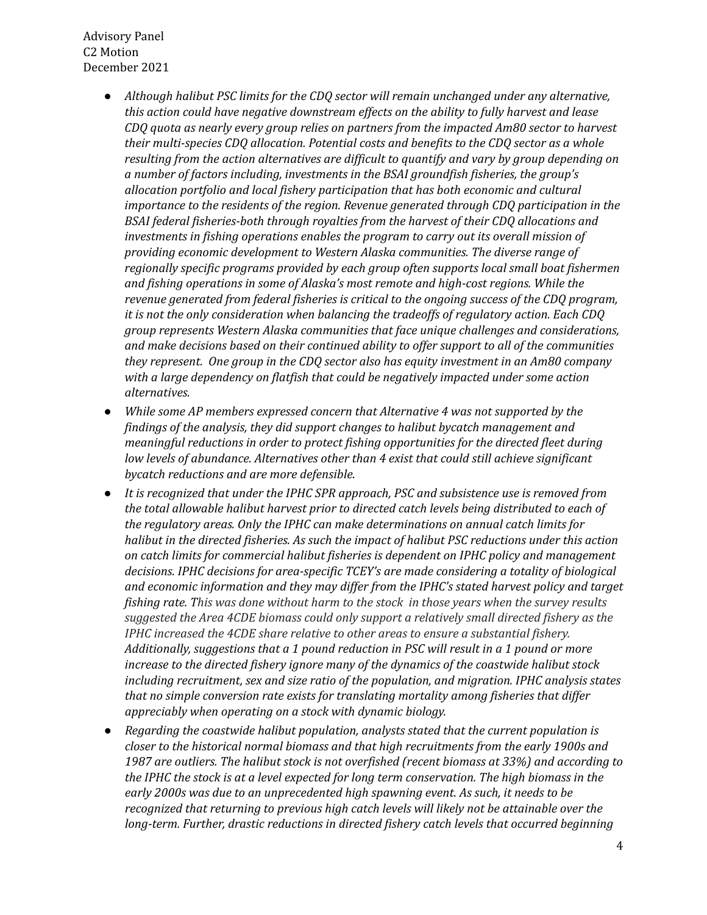- *● Although halibut PSC limits for the CDQ sector will remain unchanged under any alternative, this action could have negative downstream effects on the ability to fully harvest and lease CDQ quota as nearly every group relies on partners from the impacted Am80 sector to harvest their multi-species CDQ allocation. Potential costs and benefits to the CDQ sector as a whole resulting from the action alternatives are difficult to quantify and vary by group depending on a number of factors including, investments in the BSAI groundfish fisheries, the group's allocation portfolio and local fishery participation that has both economic and cultural importance to the residents of the region. Revenue generated through CDQ participation in the BSAI federal fisheries-both through royalties from the harvest of their CDQ allocations and investments in fishing operations enables the program to carry out its overall mission of providing economic development to Western Alaska communities. The diverse range of regionally specific programs provided by each group often supports local small boat fishermen and fishing operations in some of Alaska's most remote and high-cost regions. While the revenue generated from federal fisheries is critical to the ongoing success of the CDQ program, it is not the only consideration when balancing the tradeoffs of regulatory action. Each CDQ group represents Western Alaska communities that face unique challenges and considerations, and make decisions based on their continued ability to offer support to all of the communities they represent. One group in the CDQ sector also has equity investment in an Am80 company with a large dependency on flatfish that could be negatively impacted under some action alternatives.*
- *● While some AP members expressed concern that Alternative 4 was not supported by the findings of the analysis, they did support changes to halibut bycatch management and meaningful reductions in order to protect fishing opportunities for the directed fleet during low levels of abundance. Alternatives other than 4 exist that could still achieve significant bycatch reductions and are more defensible.*
- *● It is recognized that under the IPHC SPR approach, PSC and subsistence use is removed from the total allowable halibut harvest prior to directed catch levels being distributed to each of the regulatory areas. Only the IPHC can make determinations on annual catch limits for halibut in the directed fisheries. As such the impact of halibut PSC reductions under this action on catch limits for commercial halibut fisheries is dependent on IPHC policy and management decisions. IPHC decisions for area-specific TCEY's are made considering a totality of biological and economic information and they may differ from the IPHC's stated harvest policy and target fishing rate. This was done without harm to the stock in those years when the survey results suggested the Area 4CDE biomass could only support a relatively small directed fishery as the IPHC increased the 4CDE share relative to other areas to ensure a substantial fishery. Additionally, suggestions that a 1 pound reduction in PSC will result in a 1 pound or more increase to the directed fishery ignore many of the dynamics of the coastwide halibut stock including recruitment, sex and size ratio of the population, and migration. IPHC analysis states that no simple conversion rate exists for translating mortality among fisheries that differ appreciably when operating on a stock with dynamic biology.*
- *● Regarding the coastwide halibut population, analysts stated that the current population is closer to the historical normal biomass and that high recruitments from the early 1900s and 1987 are outliers. The halibut stock is not overfished (recent biomass at 33%) and according to* the IPHC the stock is at a level expected for long term conservation. The high biomass in the  *early 2000s was due to an unprecedented high spawning event. As such, it needs to be recognized that returning to previous high catch levels will likely not be attainable over the long-term. Further, drastic reductions in directed fishery catch levels that occurred beginning*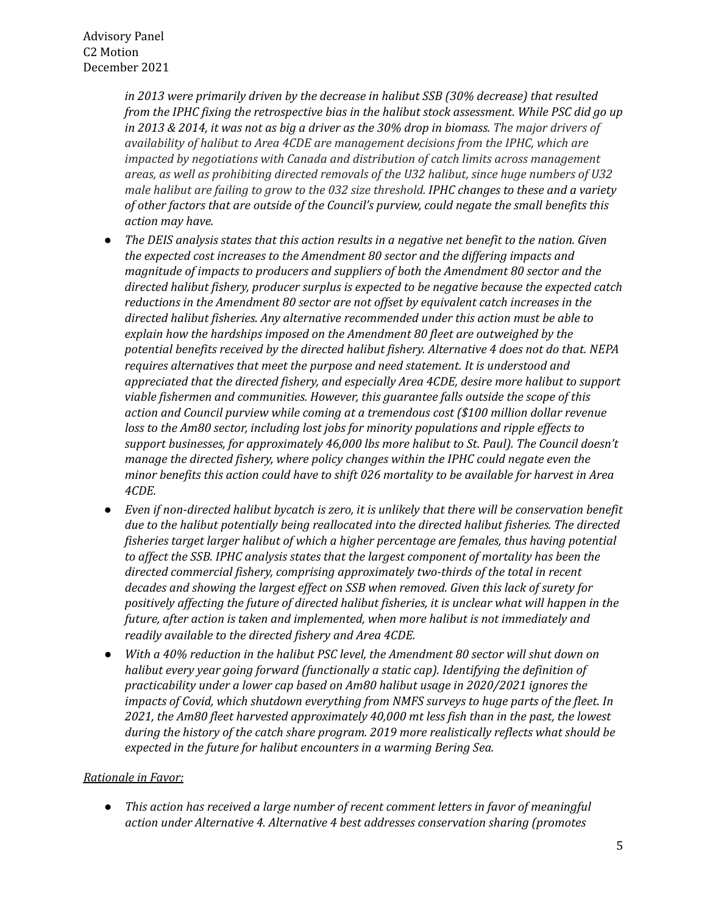*in 2013 were primarily driven by the decrease in halibut SSB (30% decrease) that resulted from the IPHC fixing the retrospective bias in the halibut stock assessment. While PSC did go up* in 2013 & 2014, it was not as big a driver as the 30% drop in biomass. The major drivers of  *availability of halibut to Area 4CDE are management decisions from the IPHC, which are impacted by negotiations with Canada and distribution of catch limits across management areas, as well as prohibiting directed removals of the U32 halibut, since huge numbers of U32* male halibut are failing to grow to the 032 size threshold. IPHC changes to these and a variety  *of other factors that are outside of the Council's purview, could negate the small benefits this action may have.*

- The DEIS analysis states that this action results in a negative net benefit to the nation. Given  *the expected cost increases to the Amendment 80 sector and the differing impacts and magnitude of impacts to producers and suppliers of both the Amendment 80 sector and the directed halibut fishery, producer surplus is expected to be negative because the expected catch reductions in the Amendment 80 sector are not offset by equivalent catch increases in the directed halibut fisheries. Any alternative recommended under this action must be able to explain how the hardships imposed on the Amendment 80 fleet are outweighed by the potential benefits received by the directed halibut fishery. Alternative 4 does not do that. NEPA requires alternatives that meet the purpose and need statement. It is understood and appreciated that the directed fishery, and especially Area 4CDE, desire more halibut to support viable fishermen and communities. However, this guarantee falls outside the scope of this action and Council purview while coming at a tremendous cost (\$100 million dollar revenue loss to the Am80 sector, including lost jobs for minority populations and ripple effects to support businesses, for approximately 46,000 lbs more halibut to St. Paul). The Council doesn't manage the directed fishery, where policy changes within the IPHC could negate even the minor benefits this action could have to shift 026 mortality to be available for harvest in Area 4CDE.*
- *Even if non-directed halibut bycatch is zero, it is unlikely that there will be conservation benefit due to the halibut potentially being reallocated into the directed halibut fisheries. The directed fisheries target larger halibut of which a higher percentage are females, thus having potential to affect the SSB. IPHC analysis states that the largest component of mortality has been the directed commercial fishery, comprising approximately two-thirds of the total in recent decades and showing the largest effect on SSB when removed. Given this lack of surety for positively affecting the future of directed halibut fisheries, it is unclear what will happen in the future, after action is taken and implemented, when more halibut is not immediately and readily available to the directed fishery and Area 4CDE.*
- With a 40% reduction in the halibut PSC level, the Amendment 80 sector will shut down on  *halibut every year going forward (functionally a static cap). Identifying the definition of practicability under a lower cap based on Am80 halibut usage in 2020/2021 ignores the impacts of Covid, which shutdown everything from NMFS surveys to huge parts of the fleet. In 2021, the Am80 fleet harvested approximately 40,000 mt less fish than in the past, the lowest during the history of the catch share program. 2019 more realistically reflects what should be expected in the future for halibut encounters in a warming Bering Sea.*

# *Rationale in Favor:*

 *● This action has received a large number of recent comment letters in favor of meaningful action under Alternative 4. Alternative 4 best addresses conservation sharing (promotes*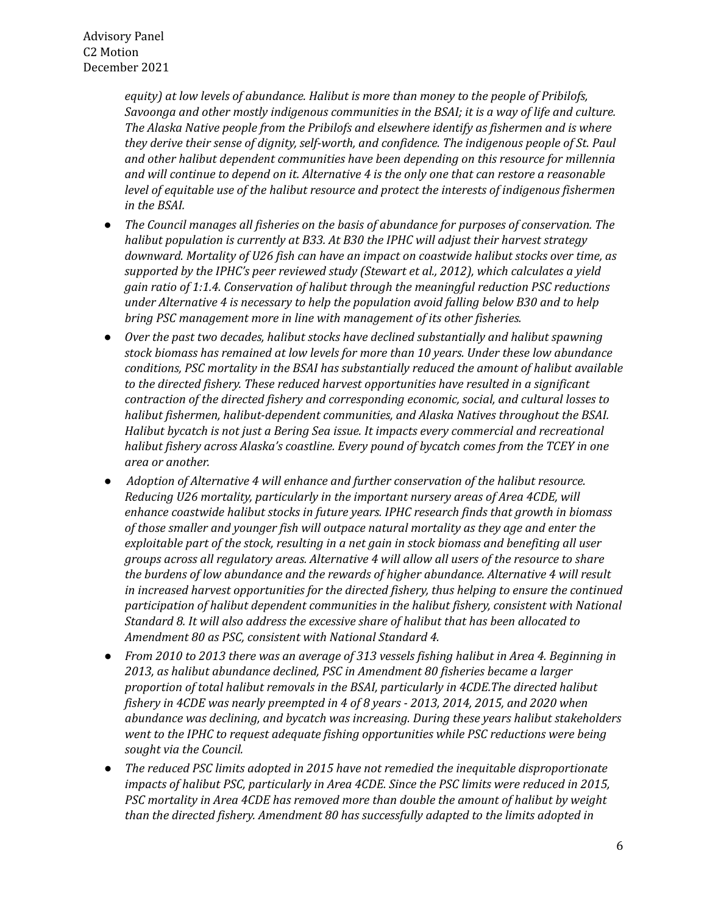*equity) at low levels of abundance. Halibut is more than money to the people of Pribilofs, Savoonga and other mostly indigenous communities in the BSAI; it is a way of life and culture. The Alaska Native people from the Pribilofs and elsewhere identify as fishermen and is where they derive their sense of dignity, self-worth, and confidence. The indigenous people of St. Paul and other halibut dependent communities have been depending on this resource for millennia* and will continue to depend on it. Alternative 4 is the only one that can restore a reasonable  *level of equitable use of the halibut resource and protect the interests of indigenous fishermen in the BSAI.*

- *● The Council manages all fisheries on the basis of abundance for purposes of conservation. The halibut population is currently at B33. At B30 the IPHC will adjust their harvest strategy downward. Mortality of U26 fish can have an impact on coastwide halibut stocks over time, as supported by the IPHC's peer reviewed study (Stewart et al., 2012), which calculates a yield gain ratio of 1:1.4. Conservation of halibut through the meaningful reduction PSC reductions under Alternative 4 is necessary to help the population avoid falling below B30 and to help bring PSC management more in line with management of its other fisheries.*
- *● Over the past two decades, halibut stocks have declined substantially and halibut spawning stock biomass has remained at low levels for more than 10 years. Under these low abundance conditions, PSC mortality in the BSAI has substantially reduced the amount of halibut available to the directed fishery. These reduced harvest opportunities have resulted in a significant contraction of the directed fishery and corresponding economic, social, and cultural losses to halibut fishermen, halibut-dependent communities, and Alaska Natives throughout the BSAI. Halibut bycatch is not just a Bering Sea issue. It impacts every commercial and recreational halibut fishery across Alaska's coastline. Every pound of bycatch comes from the TCEY in one area or another.*
- *● Adoption of Alternative 4 will enhance and further conservation of the halibut resource. Reducing U26 mortality, particularly in the important nursery areas of Area 4CDE, will enhance coastwide halibut stocks in future years. IPHC research finds that growth in biomass of those smaller and younger fish will outpace natural mortality as they age and enter the exploitable part of the stock, resulting in a net gain in stock biomass and benefiting all user groups across all regulatory areas. Alternative 4 will allow all users of the resource to share the burdens of low abundance and the rewards of higher abundance. Alternative 4 will result in increased harvest opportunities for the directed fishery, thus helping to ensure the continued participation of halibut dependent communities in the halibut fishery, consistent with National Standard 8. It will also address the excessive share of halibut that has been allocated to Amendment 80 as PSC, consistent with National Standard 4.*
- From 2010 to 2013 there was an average of 313 vessels fishing halibut in Area 4. Beginning in  *2013, as halibut abundance declined, PSC in Amendment 80 fisheries became a larger proportion of total halibut removals in the BSAI, particularly in 4CDE.The directed halibut fishery in 4CDE was nearly preempted in 4 of 8 years - 2013, 2014, 2015, and 2020 when abundance was declining, and bycatch was increasing. During these years halibut stakeholders went to the IPHC to request adequate fishing opportunities while PSC reductions were being sought via the Council.*
- *● The reduced PSC limits adopted in 2015 have not remedied the inequitable disproportionate impacts of halibut PSC, particularly in Area 4CDE. Since the PSC limits were reduced in 2015, PSC mortality in Area 4CDE has removed more than double the amount of halibut by weight than the directed fishery. Amendment 80 has successfully adapted to the limits adopted in*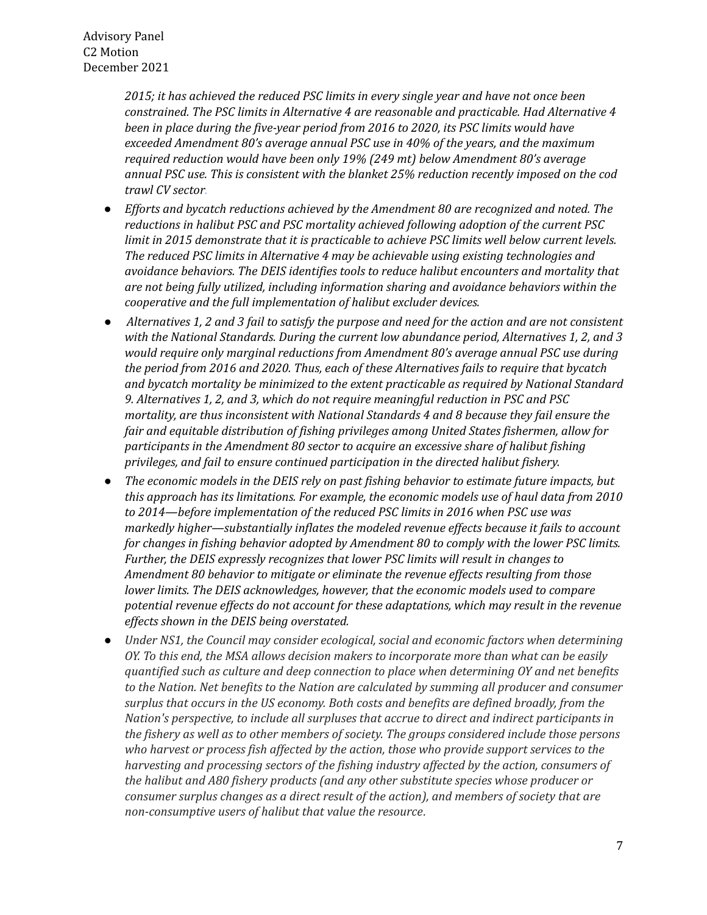*2015; it has achieved the reduced PSC limits in every single year and have not once been constrained. The PSC limits in Alternative 4 are reasonable and practicable. Had Alternative 4 been in place during the five-year period from 2016 to 2020, its PSC limits would have exceeded Amendment 80's average annual PSC use in 40% of the years, and the maximum required reduction would have been only 19% (249 mt) below Amendment 80's average annual PSC use. This is consistent with the blanket 25% reduction recently imposed on the cod trawl CV sector.*

- *● Efforts and bycatch reductions achieved by the Amendment 80 are recognized and noted. The reductions in halibut PSC and PSC mortality achieved following adoption of the current PSC limit in 2015 demonstrate that it is practicable to achieve PSC limits well below current levels. The reduced PSC limits in Alternative 4 may be achievable using existing technologies and avoidance behaviors. The DEIS identifies tools to reduce halibut encounters and mortality that are not being fully utilized, including information sharing and avoidance behaviors within the cooperative and the full implementation of halibut excluder devices.*
- Alternatives 1, 2 and 3 fail to satisfy the purpose and need for the action and are not consistent  *with the National Standards. During the current low abundance period, Alternatives 1, 2, and 3 would require only marginal reductions from Amendment 80's average annual PSC use during the period from 2016 and 2020. Thus, each of these Alternatives fails to require that bycatch and bycatch mortality be minimized to the extent practicable as required by National Standard 9. Alternatives 1, 2, and 3, which do not require meaningful reduction in PSC and PSC mortality, are thus inconsistent with National Standards 4 and 8 because they fail ensure the fair and equitable distribution of fishing privileges among United States fishermen, allow for participants in the Amendment 80 sector to acquire an excessive share of halibut fishing privileges, and fail to ensure continued participation in the directed halibut fishery.*
- *● The economic models in the DEIS rely on past fishing behavior to estimate future impacts, but this approach has its limitations. For example, the economic models use of haul data from 2010 to 2014—before implementation of the reduced PSC limits in 2016 when PSC use was markedly higher—substantially inflates the modeled revenue effects because it fails to account for changes in fishing behavior adopted by Amendment 80 to comply with the lower PSC limits. Further, the DEIS expressly recognizes that lower PSC limits will result in changes to Amendment 80 behavior to mitigate or eliminate the revenue effects resulting from those lower limits. The DEIS acknowledges, however, that the economic models used to compare potential revenue effects do not account for these adaptations, which may result in the revenue effects shown in the DEIS being overstated.*
- *● Under NS1, the Council may consider ecological, social and economic factors when determining OY. To this end, the MSA allows decision makers to incorporate more than what can be easily quantified such as culture and deep connection to place when determining OY and net benefits to the Nation. Net benefits to the Nation are calculated by summing all producer and consumer surplus that occurs in the US economy. Both costs and benefits are defined broadly, from the Nation's perspective, to include all surpluses that accrue to direct and indirect participants in the fishery as well as to other members of society. The groups considered include those persons who harvest or process fish affected by the action, those who provide support services to the harvesting and processing sectors of the fishing industry affected by the action, consumers of the halibut and A80 fishery products (and any other substitute species whose producer or consumer surplus changes as a direct result of the action), and members of society that are non-consumptive users of halibut that value the resource.*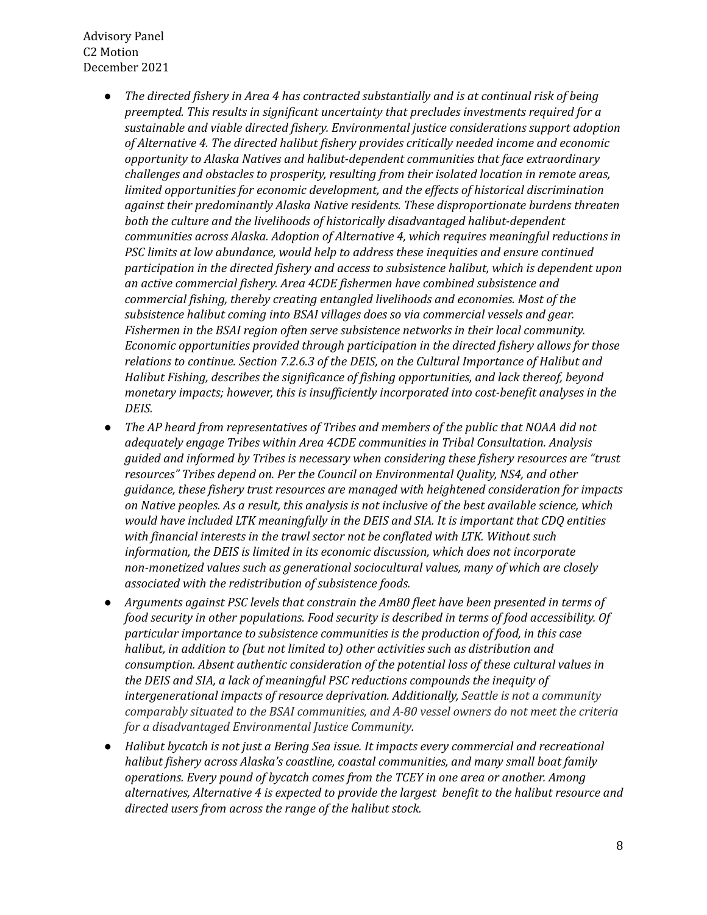- *● The directed fishery in Area 4 has contracted substantially and is at continual risk of being preempted. This results in significant uncertainty that precludes investments required for a sustainable and viable directed fishery. Environmental justice considerations support adoption of Alternative 4. The directed halibut fishery provides critically needed income and economic opportunity to Alaska Natives and halibut-dependent communities that face extraordinary challenges and obstacles to prosperity, resulting from their isolated location in remote areas, limited opportunities for economic development, and the effects of historical discrimination against their predominantly Alaska Native residents. These disproportionate burdens threaten both the culture and the livelihoods of historically disadvantaged halibut-dependent communities across Alaska. Adoption of Alternative 4, which requires meaningful reductions in PSC limits at low abundance, would help to address these inequities and ensure continued participation in the directed fishery and access to subsistence halibut, which is dependent upon an active commercial fishery. Area 4CDE fishermen have combined subsistence and commercial fishing, thereby creating entangled livelihoods and economies. Most of the subsistence halibut coming into BSAI villages does so via commercial vessels and gear. Fishermen in the BSAI region often serve subsistence networks in their local community. Economic opportunities provided through participation in the directed fishery allows for those relations to continue. Section 7.2.6.3 of the DEIS, on the Cultural Importance of Halibut and Halibut Fishing, describes the significance of fishing opportunities, and lack thereof, beyond monetary impacts; however, this is insufficiently incorporated into cost-benefit analyses in the DEIS.*
- *● The AP heard from representatives of Tribes and members of the public that NOAA did not adequately engage Tribes within Area 4CDE communities in Tribal Consultation. Analysis guided and informed by Tribes is necessary when considering these fishery resources are "trust resources" Tribes depend on. Per the Council on Environmental Quality, NS4, and other guidance, these fishery trust resources are managed with heightened consideration for impacts* on Native peoples. As a result, this analysis is not inclusive of the best available science, which  *would have included LTK meaningfully in the DEIS and SIA. It is important that CDQ entities with financial interests in the trawl sector not be conflated with LTK. Without such information, the DEIS is limited in its economic discussion, which does not incorporate non-monetized values such as generational sociocultural values, many of which are closely associated with the redistribution of subsistence foods.*
- *● Arguments against PSC levels that constrain the Am80 fleet have been presented in terms of food security in other populations. Food security is described in terms of food accessibility. Of particular importance to subsistence communities is the production of food, in this case halibut, in addition to (but not limited to) other activities such as distribution and consumption. Absent authentic consideration of the potential loss of these cultural values in the DEIS and SIA, a lack of meaningful PSC reductions compounds the inequity of intergenerational impacts of resource deprivation. Additionally, Seattle is not a community comparably situated to the BSAI communities, and A-80 vessel owners do not meet the criteria for a disadvantaged Environmental Justice Community.*
- *● Halibut bycatch is not just a Bering Sea issue. It impacts every commercial and recreational halibut fishery across Alaska's coastline, coastal communities, and many small boat family operations. Every pound of bycatch comes from the TCEY in one area or another. Among alternatives, Alternative 4 is expected to provide the largest benefit to the halibut resource and directed users from across the range of the halibut stock.*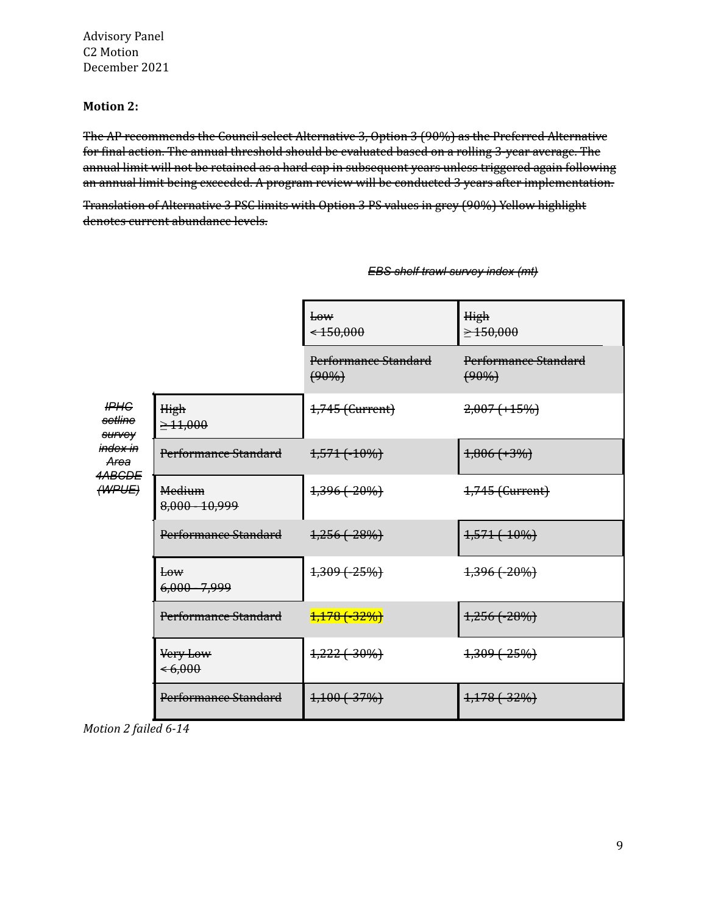### **Motion 2:**

 The AP recommends the Council select Alternative 3, Option 3 (90%) as the Preferred Alternative for final action. The annual threshold should be evaluated based on a rolling 3-year average. The annual limit will not be retained as a hard cap in subsequent years unless triggered again following an annual limit being exceeded. A program review will be conducted 3 years after implementation.

 Translation of Alternative 3 PSC limits with Option 3 PS values in grey (90%) Yellow highlight denotes current abundance levels.

|                                                                                           |                                           | E <sub>0</sub><br>$\leftarrow 150,000$ | High<br>$\geq 150,000$           |
|-------------------------------------------------------------------------------------------|-------------------------------------------|----------------------------------------|----------------------------------|
|                                                                                           |                                           | Performance Standard<br>$(90\%)$       | Performance Standard<br>$(90\%)$ |
| H <sup>PHG</sup><br>setline<br>survey<br>i <del>ndex in</del><br>Area<br>4ABGDE<br>(WPUE) | High<br>$\geq 11,000$                     | 1,745 (Current)                        | $2,007 (+15%)$                   |
|                                                                                           | Performance Standard                      | <del>1,571 (-10%)</del>                | $4,806 (+3%)$                    |
|                                                                                           | <b>Medium</b><br>8,000 - 10,999           | 1,396 (20%)                            | 1,745 (Current)                  |
|                                                                                           | Performance Standard                      | $1,256$ ( $-28%$ )                     | <del>1,571 (-10%)</del>          |
|                                                                                           | E <sub>0</sub><br>6,000 - 7,999           | 1,309 (-25%)                           | 1,396 (-20%)                     |
|                                                                                           | Performance Standard                      | <del>1,178 (-32%)</del>                | $1,256$ ( $-28%$ )               |
|                                                                                           | <del>Very Low</del><br>$\leftarrow 6,000$ | 1,222 (30%)                            | 1,309 (25%)                      |
|                                                                                           | Performance Standard                      | $4,100(-37%)$                          | $4,178$ $(-32%)$                 |

 *EBS shelf trawl survey index (mt)*

 *Motion 2 failed 6-14*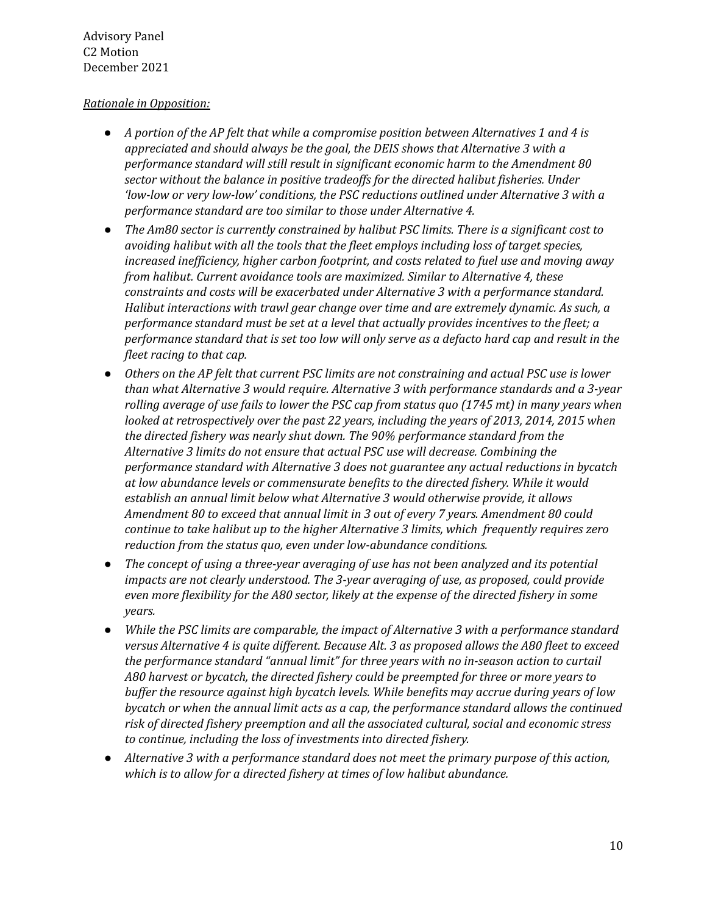# *Rationale in Opposition:*

- A portion of the AP felt that while a compromise position between Alternatives 1 and 4 is  *appreciated and should always be the goal, the DEIS shows that Alternative 3 with a performance standard will still result in significant economic harm to the Amendment 80 sector without the balance in positive tradeoffs for the directed halibut fisheries. Under 'low-low or very low-low' conditions, the PSC reductions outlined under Alternative 3 with a performance standard are too similar to those under Alternative 4.*
- *● The Am80 sector is currently constrained by halibut PSC limits. There is a significant cost to avoiding halibut with all the tools that the fleet employs including loss of target species, increased inefficiency, higher carbon footprint, and costs related to fuel use and moving away from halibut. Current avoidance tools are maximized. Similar to Alternative 4, these constraints and costs will be exacerbated under Alternative 3 with a performance standard. Halibut interactions with trawl gear change over time and are extremely dynamic. As such, a performance standard must be set at a level that actually provides incentives to the fleet; a* performance standard that is set too low will only serve as a defacto hard cap and result in the  *fleet racing to that cap.*
- Others on the AP felt that current PSC limits are not constraining and actual PSC use is lower  *than what Alternative 3 would require. Alternative 3 with performance standards and a 3-year* rolling average of use fails to lower the PSC cap from status quo (1745 mt) in many years when  *looked at retrospectively over the past 22 years, including the years of 2013, 2014, 2015 when the directed fishery was nearly shut down. The 90% performance standard from the Alternative 3 limits do not ensure that actual PSC use will decrease. Combining the performance standard with Alternative 3 does not guarantee any actual reductions in bycatch at low abundance levels or commensurate benefits to the directed fishery. While it would establish an annual limit below what Alternative 3 would otherwise provide, it allows Amendment 80 to exceed that annual limit in 3 out of every 7 years. Amendment 80 could continue to take halibut up to the higher Alternative 3 limits, which frequently requires zero reduction from the status quo, even under low-abundance conditions.*
- *● The concept of using a three-year averaging of use has not been analyzed and its potential impacts are not clearly understood. The 3-year averaging of use, as proposed, could provide even more flexibility for the A80 sector, likely at the expense of the directed fishery in some years.*
- *● While the PSC limits are comparable, the impact of Alternative 3 with a performance standard* versus Alternative 4 is quite different. Because Alt. 3 as proposed allows the A80 fleet to exceed  *the performance standard "annual limit" for three years with no in-season action to curtail A80 harvest or bycatch, the directed fishery could be preempted for three or more years to buffer the resource against high bycatch levels. While benefits may accrue during years of low bycatch or when the annual limit acts as a cap, the performance standard allows the continued risk of directed fishery preemption and all the associated cultural, social and economic stress to continue, including the loss of investments into directed fishery.*
- *● Alternative 3 with a performance standard does not meet the primary purpose of this action, which is to allow for a directed fishery at times of low halibut abundance.*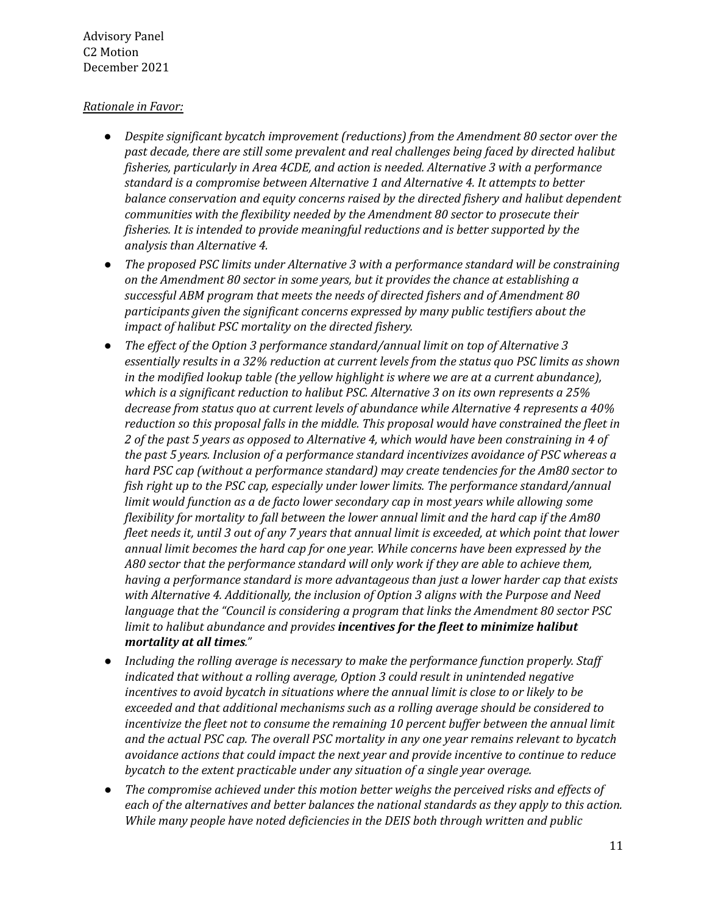# *Rationale in Favor:*

- *● Despite significant bycatch improvement (reductions) from the Amendment 80 sector over the past decade, there are still some prevalent and real challenges being faced by directed halibut fisheries, particularly in Area 4CDE, and action is needed. Alternative 3 with a performance standard is a compromise between Alternative 1 and Alternative 4. It attempts to better balance conservation and equity concerns raised by the directed fishery and halibut dependent communities with the flexibility needed by the Amendment 80 sector to prosecute their fisheries. It is intended to provide meaningful reductions and is better supported by the analysis than Alternative 4.*
- *● The proposed PSC limits under Alternative 3 with a performance standard will be constraining on the Amendment 80 sector in some years, but it provides the chance at establishing a successful ABM program that meets the needs of directed fishers and of Amendment 80 participants given the significant concerns expressed by many public testifiers about the impact of halibut PSC mortality on the directed fishery.*
- *● The effect of the Option 3 performance standard/annual limit on top of Alternative 3 essentially results in a 32% reduction at current levels from the status quo PSC limits as shown in the modified lookup table (the yellow highlight is where we are at a current abundance), which is a significant reduction to halibut PSC. Alternative 3 on its own represents a 25% decrease from status quo at current levels of abundance while Alternative 4 represents a 40% reduction so this proposal falls in the middle. This proposal would have constrained the fleet in* 2 of the past 5 years as opposed to Alternative 4, which would have been constraining in 4 of  *the past 5 years. Inclusion of a performance standard incentivizes avoidance of PSC whereas a hard PSC cap (without a performance standard) may create tendencies for the Am80 sector to fish right up to the PSC cap, especially under lower limits. The performance standard/annual limit would function as a de facto lower secondary cap in most years while allowing some flexibility for mortality to fall between the lower annual limit and the hard cap if the Am80* fleet needs it, until 3 out of any 7 years that annual limit is exceeded, at which point that lower  *annual limit becomes the hard cap for one year. While concerns have been expressed by the A80 sector that the performance standard will only work if they are able to achieve them, having a performance standard is more advantageous than just a lower harder cap that exists with Alternative 4. Additionally, the inclusion of Option 3 aligns with the Purpose and Need language that the "Council is considering a program that links the Amendment 80 sector PSC limit to halibut abundance and provides incentives for the fleet to minimize halibut mortality at all times."*
- *● Including the rolling average is necessary to make the performance function properly. Staff indicated that without a rolling average, Option 3 could result in unintended negative incentives to avoid bycatch in situations where the annual limit is close to or likely to be exceeded and that additional mechanisms such as a rolling average should be considered to incentivize the fleet not to consume the remaining 10 percent buffer between the annual limit and the actual PSC cap. The overall PSC mortality in any one year remains relevant to bycatch avoidance actions that could impact the next year and provide incentive to continue to reduce bycatch to the extent practicable under any situation of a single year overage.*
- *● The compromise achieved under this motion better weighs the perceived risks and effects of each of the alternatives and better balances the national standards as they apply to this action. While many people have noted deficiencies in the DEIS both through written and public*